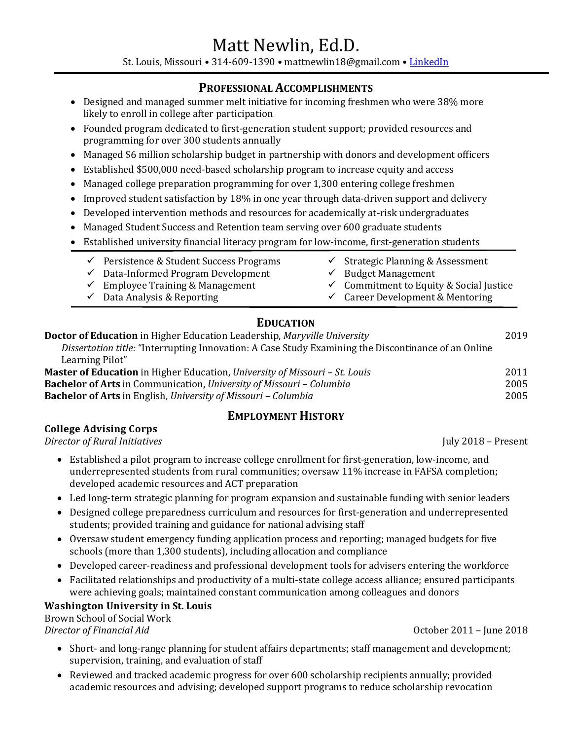St. Louis, Missouri • 314-609-1390 • mattnewlin18@gmail.com • [LinkedIn](https://www.linkedin.com/in/mattnewlin/)

### **PROFESSIONAL ACCOMPLISHMENTS**

- Designed and managed summer melt initiative for incoming freshmen who were 38% more likely to enroll in college after participation
- Founded program dedicated to first-generation student support; provided resources and programming for over 300 students annually
- Managed \$6 million scholarship budget in partnership with donors and development officers
- Established \$500,000 need-based scholarship program to increase equity and access
- Managed college preparation programming for over 1,300 entering college freshmen
- Improved student satisfaction by 18% in one year through data-driven support and delivery
- Developed intervention methods and resources for academically at-risk undergraduates
- Managed Student Success and Retention team serving over 600 graduate students
- Established university financial literacy program for low-income, first-generation students
	- $\checkmark$  Persistence & Student Success Programs
	- $\checkmark$  Data-Informed Program Development
	- $\checkmark$  Employee Training & Management
	- $\checkmark$  Data Analysis & Reporting
- ✓ Strategic Planning & Assessment
- $\checkmark$  Budget Management
- ✓ Commitment to Equity & Social Justice
- $\checkmark$  Career Development & Mentoring

# **EDUCATION**

| <b>Doctor of Education</b> in Higher Education Leadership, <i>Maryville University</i>              | 2019 |
|-----------------------------------------------------------------------------------------------------|------|
| Dissertation title: "Interrupting Innovation: A Case Study Examining the Discontinance of an Online |      |
| Learning Pilot"                                                                                     |      |
| <b>Master of Education</b> in Higher Education, University of Missouri – St. Louis                  | 2011 |
| <b>Bachelor of Arts</b> in Communication, University of Missouri - Columbia                         | 2005 |
| <b>Bachelor of Arts</b> in English, University of Missouri – Columbia                               | 2005 |
|                                                                                                     |      |

# **EMPLOYMENT HISTORY**

#### **College Advising Corps**

*Director of Rural Initiatives* July 2018 – Present

- Established a pilot program to increase college enrollment for first-generation, low-income, and underrepresented students from rural communities; oversaw 11% increase in FAFSA completion; developed academic resources and ACT preparation
- Led long-term strategic planning for program expansion and sustainable funding with senior leaders
- Designed college preparedness curriculum and resources for first-generation and underrepresented students; provided training and guidance for national advising staff
- Oversaw student emergency funding application process and reporting; managed budgets for five schools (more than 1,300 students), including allocation and compliance
- Developed career-readiness and professional development tools for advisers entering the workforce
- Facilitated relationships and productivity of a multi-state college access alliance; ensured participants were achieving goals; maintained constant communication among colleagues and donors

#### **Washington University in St. Louis**

Brown School of Social Work *Director of Financial Aid* October 2011 – June 2018

- Short- and long-range planning for student affairs departments; staff management and development; supervision, training, and evaluation of staff
- Reviewed and tracked academic progress for over 600 scholarship recipients annually; provided academic resources and advising; developed support programs to reduce scholarship revocation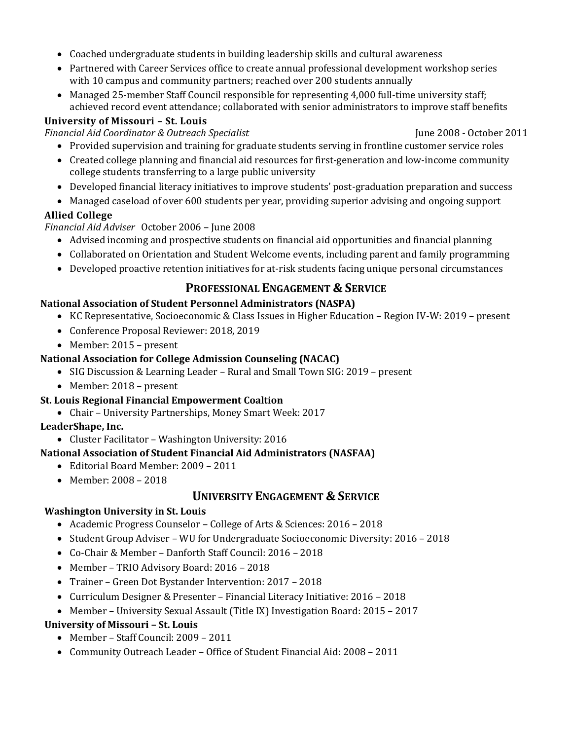- Coached undergraduate students in building leadership skills and cultural awareness
- Partnered with Career Services office to create annual professional development workshop series with 10 campus and community partners; reached over 200 students annually
- Managed 25-member Staff Council responsible for representing 4,000 full-time university staff; achieved record event attendance; collaborated with senior administrators to improve staff benefits

### **University of Missouri – St. Louis**

*Financial Aid Coordinator & Outreach Specialist* June 2008 - October 2011

- Provided supervision and training for graduate students serving in frontline customer service roles
- Created college planning and financial aid resources for first-generation and low-income community college students transferring to a large public university
- Developed financial literacy initiatives to improve students' post-graduation preparation and success
- Managed caseload of over 600 students per year, providing superior advising and ongoing support

### **Allied College**

*Financial Aid Adviser* October 2006 – June 2008

- Advised incoming and prospective students on financial aid opportunities and financial planning
- Collaborated on Orientation and Student Welcome events, including parent and family programming
- Developed proactive retention initiatives for at-risk students facing unique personal circumstances

# **PROFESSIONAL ENGAGEMENT & SERVICE**

#### **National Association of Student Personnel Administrators (NASPA)**

- KC Representative, Socioeconomic & Class Issues in Higher Education Region IV-W: 2019 present
- Conference Proposal Reviewer: 2018, 2019
- Member: 2015 present

#### **National Association for College Admission Counseling (NACAC)**

- SIG Discussion & Learning Leader Rural and Small Town SIG: 2019 present
- Member: 2018 present

#### **St. Louis Regional Financial Empowerment Coaltion**

• Chair – University Partnerships, Money Smart Week: 2017

## **LeaderShape, Inc.**

• Cluster Facilitator – Washington University: 2016

#### **National Association of Student Financial Aid Administrators (NASFAA)**

- Editorial Board Member: 2009 2011
- Member: 2008 2018

# **UNIVERSITY ENGAGEMENT & SERVICE**

#### **Washington University in St. Louis**

- Academic Progress Counselor College of Arts & Sciences: 2016 2018
- Student Group Adviser WU for Undergraduate Socioeconomic Diversity: 2016 2018
- Co-Chair & Member Danforth Staff Council: 2016 2018
- Member TRIO Advisory Board: 2016 2018
- Trainer Green Dot Bystander Intervention: 2017 2018
- Curriculum Designer & Presenter Financial Literacy Initiative: 2016 2018
- Member University Sexual Assault (Title IX) Investigation Board: 2015 2017

### **University of Missouri – St. Louis**

- Member Staff Council: 2009 2011
- Community Outreach Leader Office of Student Financial Aid: 2008 2011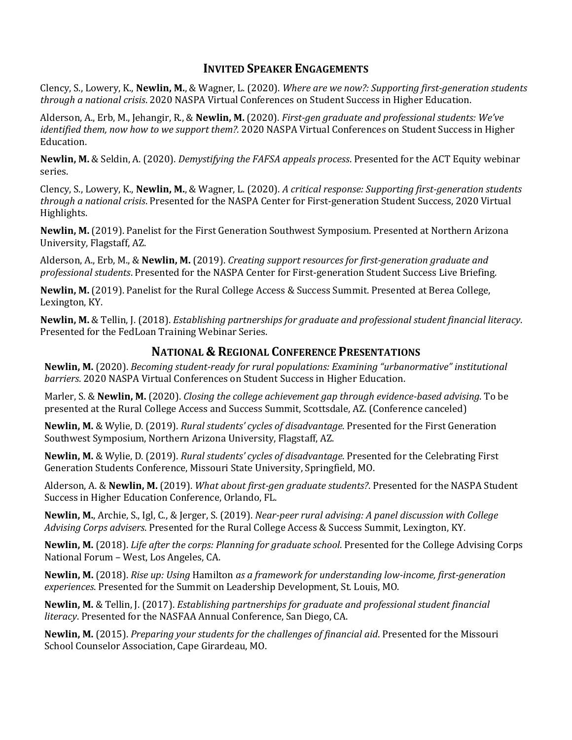### **INVITED SPEAKER ENGAGEMENTS**

Clency, S., Lowery, K., **Newlin, M.**, & Wagner, L. (2020). *Where are we now?: Supporting first-generation students through a national crisis*. 2020 NASPA Virtual Conferences on Student Success in Higher Education.

Alderson, A., Erb, M., Jehangir, R., & **Newlin, M.** (2020). *First-gen graduate and professional students: We've identified them, now how to we support them?.* 2020 NASPA Virtual Conferences on Student Success in Higher Education.

**Newlin, M.** & Seldin, A. (2020). *Demystifying the FAFSA appeals process*. Presented for the ACT Equity webinar series.

Clency, S., Lowery, K., **Newlin, M.**, & Wagner, L. (2020). *A critical response: Supporting first-generation students through a national crisis*. Presented for the NASPA Center for First-generation Student Success, 2020 Virtual Highlights.

**Newlin, M.** (2019). Panelist for the First Generation Southwest Symposium. Presented at Northern Arizona University, Flagstaff, AZ.

Alderson, A., Erb, M., & **Newlin, M.** (2019). *Creating support resources for first-generation graduate and professional students*. Presented for the NASPA Center for First-generation Student Success Live Briefing.

**Newlin, M.** (2019). Panelist for the Rural College Access & Success Summit. Presented at Berea College, Lexington, KY.

**Newlin, M.** & Tellin, J. (2018). *Establishing partnerships for graduate and professional student financial literacy*. Presented for the FedLoan Training Webinar Series.

### **NATIONAL & REGIONAL CONFERENCE PRESENTATIONS**

**Newlin, M.** (2020). *Becoming student-ready for rural populations: Examining "urbanormative" institutional barriers*. 2020 NASPA Virtual Conferences on Student Success in Higher Education.

Marler, S. & **Newlin, M.** (2020). *Closing the college achievement gap through evidence-based advising*. To be presented at the Rural College Access and Success Summit, Scottsdale, AZ. (Conference canceled)

**Newlin, M.** & Wylie, D. (2019). *Rural students' cycles of disadvantage*. Presented for the First Generation Southwest Symposium, Northern Arizona University, Flagstaff, AZ.

**Newlin, M.** & Wylie, D. (2019). *Rural students' cycles of disadvantage*. Presented for the Celebrating First Generation Students Conference, Missouri State University, Springfield, MO.

Alderson, A. & **Newlin, M.** (2019). *What about first-gen graduate students?*. Presented for the NASPA Student Success in Higher Education Conference, Orlando, FL.

**Newlin, M.**, Archie, S., Igl, C., & Jerger, S. (2019). *Near-peer rural advising: A panel discussion with College Advising Corps advisers*. Presented for the Rural College Access & Success Summit, Lexington, KY.

**Newlin, M.** (2018). *Life after the corps: Planning for graduate school*. Presented for the College Advising Corps National Forum – West, Los Angeles, CA.

**Newlin, M.** (2018). *Rise up: Using* Hamilton *as a framework for understanding low-income, first-generation experiences*. Presented for the Summit on Leadership Development, St. Louis, MO.

**Newlin, M.** & Tellin, J. (2017). *Establishing partnerships for graduate and professional student financial literacy*. Presented for the NASFAA Annual Conference, San Diego, CA.

**Newlin, M.** (2015). *Preparing your students for the challenges of financial aid*. Presented for the Missouri School Counselor Association, Cape Girardeau, MO.